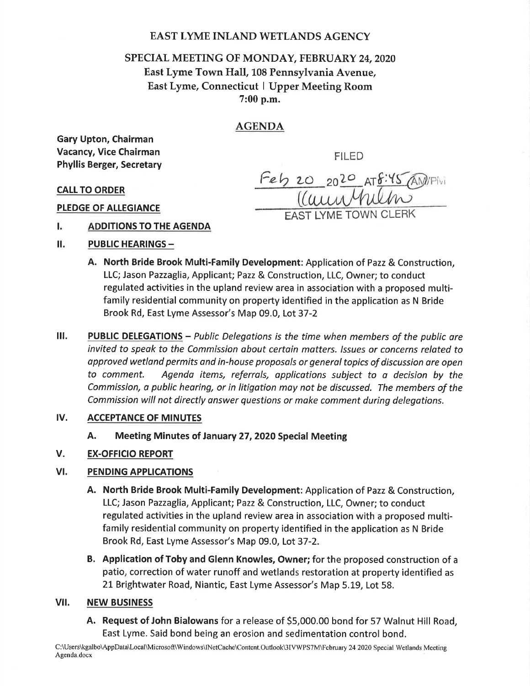## EAST LYME INLAND WETLANDS AGENCY

# SPECIAL MEETING OF MONDAY, FEBRUARY 24,2020 East Lyme Town Hall,108 Pennsylvania Avenue, East Lyme, Connecticut I Upper Meeting Room 7:00 p.m.

## AGENDA

Gary Upton, Chairman Vacancy, Vice Chairman Phyllis Berger, Secretary

FILED

Feb 20 2020 AT8:45 AM/PM EAST LYME TOWN CLERK

CALI TO ORDER

PLEDGE OF ALLEGIANCE

- Ī. ADDITIONS TO THE AGENDA
- П. **PUBLIC HEARINGS -**
	- A. North Bride Brook Multi-Family Development: Application of Pazz & Construction, LLC; Jason Pazzaglia, Applicant; Pazz & Construction, LLC, Owner; to conduct regulated activities in the upland review area in association with a proposed multifamily residential community on property identified in the application as N Bride Brook Rd, East Lyme Assessor's Map 09.0, Lot 37-2
- III. PUBLIC DELEGATIONS Public Delegations is the time when members of the public are invited to speak to the Commission obout certain matters. lssues or concerns related to approved wetland permits and in-house proposals or general topics of discussion are open to comment. Agenda items, referrols, opplicotions subject to a decision by the Commission, a public heoring, or in litigotion moy not be discussed. The members of the Commission will not directly onswer questions or make comment during delegations.

#### ACCEPTANCE OF MINUTES lv.

A. Meeting Minutes of January 27,2020 Special Meeting

#### EX-OFFICIO REPORT V

#### PENDING APPLICATIONS vt.

- A. North Bride Brook Multi-Family Development: Application of Pazz & Construction, LLC; Jason Pazzaglia, Applicant; Pazz & Construction, LLC, Owner; to conduct regulated activities in the upland review area in association with a proposed multifamily residential community on property identified in the application as N Bride Brook Rd, East Lyme Assessor's Map 09.0, Lot 37-2.
- B. Application of Toby and Glenn Knowles, Owner; for the proposed construction of <sup>a</sup> patio, correction of water runoff and wetlands restoration at property identified as 21 Brightwater Road, Niantic, East Lyme Assessor's Map 5.19, Lot 58.

#### vil. NEW BUSINESS

A. Request of John Bialowans for a release of 55,000.00 bond for 57 Walnut Hill Road, East Lyme. Said bond being an erosion and sedimentation control bond.